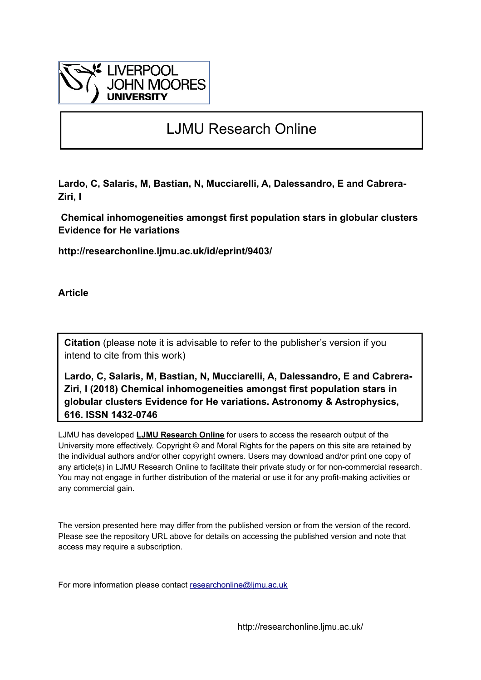

# LJMU Research Online

**Lardo, C, Salaris, M, Bastian, N, Mucciarelli, A, Dalessandro, E and Cabrera-Ziri, I**

 **Chemical inhomogeneities amongst first population stars in globular clusters Evidence for He variations**

**http://researchonline.ljmu.ac.uk/id/eprint/9403/**

**Article**

**Citation** (please note it is advisable to refer to the publisher's version if you intend to cite from this work)

**Lardo, C, Salaris, M, Bastian, N, Mucciarelli, A, Dalessandro, E and Cabrera-Ziri, I (2018) Chemical inhomogeneities amongst first population stars in globular clusters Evidence for He variations. Astronomy & Astrophysics, 616. ISSN 1432-0746** 

LJMU has developed **[LJMU Research Online](http://researchonline.ljmu.ac.uk/)** for users to access the research output of the University more effectively. Copyright © and Moral Rights for the papers on this site are retained by the individual authors and/or other copyright owners. Users may download and/or print one copy of any article(s) in LJMU Research Online to facilitate their private study or for non-commercial research. You may not engage in further distribution of the material or use it for any profit-making activities or any commercial gain.

The version presented here may differ from the published version or from the version of the record. Please see the repository URL above for details on accessing the published version and note that access may require a subscription.

For more information please contact researchonline@limu.ac.uk

http://researchonline.ljmu.ac.uk/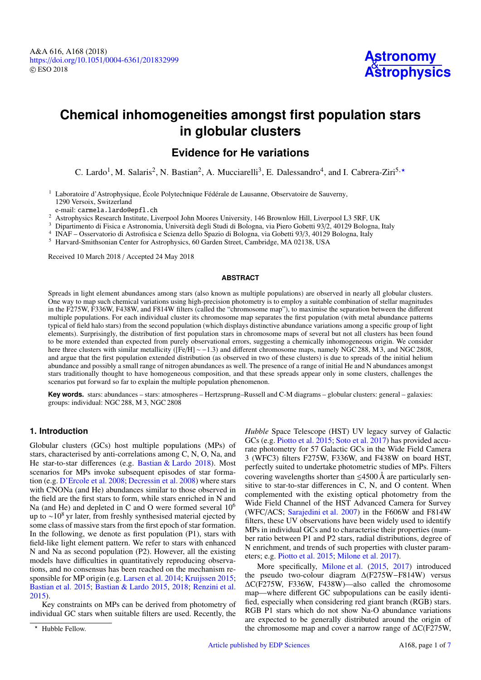# **Chemical inhomogeneities amongst first population stars in globular clusters**

# **Evidence for He variations**

C. Lardo<sup>[1](#page-1-0)</sup>, M. Salaris<sup>[2](#page-1-1)</sup>, N. Bastian<sup>2</sup>, A. Mucciarelli<sup>[3](#page-1-2)</sup>, E. Dalessandro<sup>[4](#page-1-3)</sup>, and I. Cabrera-Ziri<sup>[5,](#page-1-4)\*</sup>

<span id="page-1-0"></span><sup>1</sup> Laboratoire d'Astrophysique, École Polytechnique Fédérale de Lausanne, Observatoire de Sauverny, 1290 Versoix, Switzerland

e-mail: carmela.lardo@epfl.ch

<span id="page-1-1"></span><sup>2</sup> Astrophysics Research Institute, Liverpool John Moores University, 146 Brownlow Hill, Liverpool L3 5RF, UK

<span id="page-1-2"></span><sup>3</sup> Dipartimento di Fisica e Astronomia, Università degli Studi di Bologna, via Piero Gobetti 93/2, 40129 Bologna, Italy

<span id="page-1-3"></span>4 INAF – Osservatorio di Astrofisica e Scienza dello Spazio di Bologna, via Gobetti 93/3, 40129 Bologna, Italy

<span id="page-1-4"></span><sup>5</sup> Harvard-Smithsonian Center for Astrophysics, 60 Garden Street, Cambridge, MA 02138, USA

Received 10 March 2018 / Accepted 24 May 2018

#### **ABSTRACT**

Spreads in light element abundances among stars (also known as multiple populations) are observed in nearly all globular clusters. One way to map such chemical variations using high-precision photometry is to employ a suitable combination of stellar magnitudes in the F275W, F336W, F438W, and F814W filters (called the "chromosome map"), to maximise the separation between the different multiple populations. For each individual cluster its chromosome map separates the first population (with metal abundance patterns typical of field halo stars) from the second population (which displays distinctive abundance variations among a specific group of light elements). Surprisingly, the distribution of first population stars in chromosome maps of several but not all clusters has been found to be more extended than expected from purely observational errors, suggesting a chemically inhomogeneous origin. We consider here three clusters with similar metallicity ([Fe/H] ∼ −1.3) and different chromosome maps, namely NGC 288, M 3, and NGC 2808, and argue that the first population extended distribution (as observed in two of these clusters) is due to spreads of the initial helium abundance and possibly a small range of nitrogen abundances as well. The presence of a range of initial He and N abundances amongst stars traditionally thought to have homogeneous composition, and that these spreads appear only in some clusters, challenges the scenarios put forward so far to explain the multiple population phenomenon.

**Key words.** stars: abundances – stars: atmospheres – Hertzsprung–Russell and C-M diagrams – globular clusters: general – galaxies: groups: individual: NGC 288, M 3, NGC 2808

# **1. Introduction**

Globular clusters (GCs) host multiple populations (MPs) of stars, characterised by anti-correlations among C, N, O, Na, and He star-to-star differences (e.g. [Bastian & Lardo](#page-7-0) [2018\)](#page-7-0). Most scenarios for MPs invoke subsequent episodes of star formation (e.g. [D'Ercole et al.](#page-7-1) [2008;](#page-7-1) [Decressin et al.](#page-7-2) [2008\)](#page-7-2) where stars with CNONa (and He) abundances similar to those observed in the field are the first stars to form, while stars enriched in N and Na (and He) and depleted in C and O were formed several  $10^6$ up to ∼10<sup>8</sup> yr later, from freshly synthesised material ejected by some class of massive stars from the first epoch of star formation. In the following, we denote as first population (P1), stars with field-like light element pattern. We refer to stars with enhanced N and Na as second population (P2). However, all the existing models have difficulties in quantitatively reproducing observations, and no consensus has been reached on the mechanism responsible for MP origin (e.g. [Larsen et al.](#page-7-3) [2014;](#page-7-3) [Kruijssen](#page-7-4) [2015;](#page-7-4) [Bastian et al.](#page-7-5) [2015;](#page-7-5) [Bastian & Lardo](#page-7-6) [2015,](#page-7-6) [2018;](#page-7-0) [Renzini et al.](#page-7-7) [2015\)](#page-7-7).

Key constraints on MPs can be derived from photometry of individual GC stars when suitable filters are used. Recently, the

*Hubble* Space Telescope (HST) UV legacy survey of Galactic GCs (e.g. [Piotto et al.](#page-7-8) [2015;](#page-7-8) [Soto et al.](#page-7-9) [2017\)](#page-7-9) has provided accurate photometry for 57 Galactic GCs in the Wide Field Camera 3 (WFC3) filters F275W, F336W, and F438W on board HST, perfectly suited to undertake photometric studies of MPs. Filters covering wavelengths shorter than  $\leq$ 4500 Å are particularly sensitive to star-to-star differences in C, N, and O content. When complemented with the existing optical photometry from the Wide Field Channel of the HST Advanced Camera for Survey (WFC/ACS; [Sarajedini et al.](#page-7-10) [2007\)](#page-7-10) in the F606W and F814W filters, these UV observations have been widely used to identify MPs in individual GCs and to characterise their properties (number ratio between P1 and P2 stars, radial distributions, degree of N enrichment, and trends of such properties with cluster parameters; e.g. [Piotto et al.](#page-7-8) [2015;](#page-7-8) [Milone et al.](#page-7-11) [2017\)](#page-7-11).

More specifically, [Milone et al.](#page-7-12) [\(2015,](#page-7-12) [2017\)](#page-7-11) introduced the pseudo two-colour diagram ∆(F275W−F814W) versus ∆C(F275W, F336W, F438W)—also called the chromosome map—where different GC subpopulations can be easily identified, especially when considering red giant branch (RGB) stars. RGB P1 stars which do not show Na-O abundance variations are expected to be generally distributed around the origin of the chromosome map and cover a narrow range of ∆C(F275W,

<sup>\*</sup> Hubble Fellow.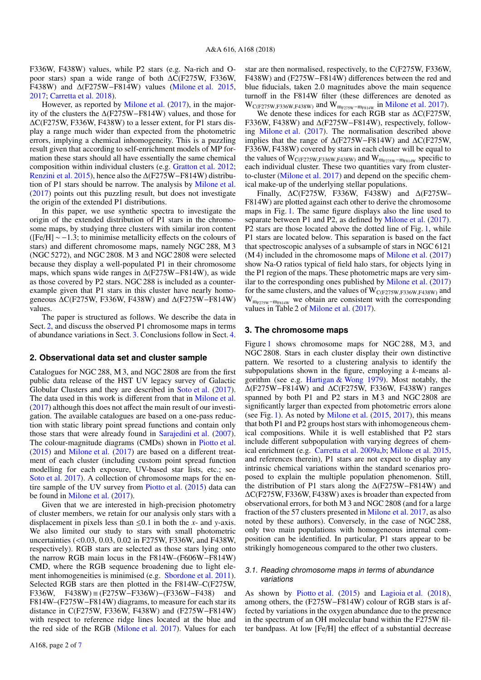F336W, F438W) values, while P2 stars (e.g. Na-rich and Opoor stars) span a wide range of both ∆C(F275W, F336W, F438W) and ∆(F275W−F814W) values [\(Milone et al.](#page-7-12) [2015,](#page-7-12) [2017;](#page-7-11) [Carretta et al.](#page-7-14) [2018\)](#page-7-14).

However, as reported by [Milone et al.](#page-7-11) [\(2017\)](#page-7-11), in the majority of the clusters the ∆(F275W−F814W) values, and those for ∆C(F275W, F336W, F438W) to a lesser extent, for P1 stars display a range much wider than expected from the photometric errors, implying a chemical inhomogeneity. This is a puzzling result given that according to self-enrichment models of MP formation these stars should all have essentially the same chemical composition within individual clusters (e.g. [Gratton et al.](#page-7-15) [2012;](#page-7-15) [Renzini et al.](#page-7-7) [2015\)](#page-7-7), hence also the ∆(F275W−F814W) distribution of P1 stars should be narrow. The analysis by [Milone et al.](#page-7-11) [\(2017\)](#page-7-11) points out this puzzling result, but does not investigate the origin of the extended P1 distributions.

In this paper, we use synthetic spectra to investigate the origin of the extended distribution of P1 stars in the chromosome maps, by studying three clusters with similar iron content ( $[Fe/H] \sim -1.3$ ; to minimise metallicity effects on the colours of stars) and different chromosome maps, namely NGC 288, M 3 (NGC 5272), and NGC 2808. M 3 and NGC 2808 were selected because they display a well-populated P1 in their chromosome maps, which spans wide ranges in ∆(F275W−F814W), as wide as those covered by P2 stars. NGC 288 is included as a counterexample given that P1 stars in this cluster have nearly homogeneous ∆C(F275W, F336W, F438W) and ∆(F275W−F814W) values.

The paper is structured as follows. We describe the data in Sect. [2,](#page-2-0) and discuss the observed P1 chromosome maps in terms of abundance variations in Sect. [3.](#page-2-1) Conclusions follow in Sect. [4.](#page-6-0)

#### <span id="page-2-0"></span>**2. Observational data set and cluster sample**

Catalogues for NGC 288, M 3, and NGC 2808 are from the first public data release of the HST UV legacy survey of Galactic Globular Clusters and they are described in [Soto et al.](#page-7-9) [\(2017\)](#page-7-9). The data used in this work is different from that in [Milone et al.](#page-7-11) [\(2017\)](#page-7-11) although this does not affect the main result of our investigation. The available catalogues are based on a one-pass reduction with static library point spread functions and contain only those stars that were already found in [Sarajedini et al.](#page-7-10) [\(2007\)](#page-7-10). The colour-magnitude diagrams (CMDs) shown in [Piotto et al.](#page-7-8) [\(2015\)](#page-7-8) and [Milone et al.](#page-7-11) [\(2017\)](#page-7-11) are based on a different treatment of each cluster (including custom point spread function modelling for each exposure, UV-based star lists, etc.; see [Soto et al.](#page-7-9) [2017\)](#page-7-9). A collection of chromosome maps for the entire sample of the UV survey from [Piotto et al.](#page-7-8) [\(2015\)](#page-7-8) data can be found in [Milone et al.](#page-7-11) [\(2017\)](#page-7-11).

Given that we are interested in high-precision photometry of cluster members, we retain for our analysis only stars with a displacement in pixels less than  $\leq 0.1$  in both the *x*- and *y*-axis. We also limited our study to stars with small photometric uncertainties (<0.03, 0.03, 0.02 in F275W, F336W, and F438W, respectively). RGB stars are selected as those stars lying onto the narrow RGB main locus in the F814W–(F606W−F814W) CMD, where the RGB sequence broadening due to light element inhomogeneities is minimised (e.g. [Sbordone et al.](#page-7-16) [2011\)](#page-7-16). Selected RGB stars are then plotted in the F814W–C(F275W, F336W, F438W) ≡ (F275W−F336W)−(F336W−F438) and F814W–(F275W−F814W) diagrams, to measure for each star its distance in C(F275W, F336W, F438W) and (F275W−F814W) with respect to reference ridge lines located at the blue and the red side of the RGB [\(Milone et al.](#page-7-11) [2017\)](#page-7-11). Values for each star are then normalised, respectively, to the C(F275W, F336W, F438W) and (F275W−F814W) differences between the red and blue fiducials, taken 2.0 magnitudes above the main sequence turnoff in the F814W filter (these differences are denoted as  $W_{C(F275W,F336W,F438W)}$  and  $W_{m_{F275W}-m_{F814W}}$  in [Milone et al.](#page-7-11) [2017\)](#page-7-11).

We denote these indices for each RGB star as ∆C(F275W, F336W, F438W) and ∆(F275W−F814W), respectively, following [Milone et al.](#page-7-11) [\(2017\)](#page-7-11). The normalisation described above implies that the range of ∆(F275W−F814W) and ∆C(F275W, F336W, F438W) covered by stars in each cluster will be equal to the values of  $W_{C(F275W,F336W,F438W)}$  and  $W_{m_{F275W}-m_{F814W}}$  specific to each individual cluster. These two quantities vary from clusterto-cluster [\(Milone et al.](#page-7-11) [2017\)](#page-7-11) and depend on the specific chemical make-up of the underlying stellar populations.

Finally, ∆C(F275W, F336W, F438W) and ∆(F275W– F814W) are plotted against each other to derive the chromosome maps in Fig. [1.](#page-3-0) The same figure displays also the line used to separate between P1 and P2, as defined by [Milone et al.](#page-7-11) [\(2017\)](#page-7-11). P2 stars are those located above the dotted line of Fig. [1,](#page-3-0) while P1 stars are located below. This separation is based on the fact that spectroscopic analyses of a subsample of stars in NGC 6121 (M 4) included in the chromosome maps of [Milone et al.](#page-7-11) [\(2017\)](#page-7-11) show Na-O ratios typical of field halo stars, for objects lying in the P1 region of the maps. These photometric maps are very similar to the corresponding ones published by [Milone et al.](#page-7-11) [\(2017\)](#page-7-11) for the same clusters, and the values of  $W_{C(F275W,F336W,F438W)}$  and  $W_{m_{F275W}-m_{F814W}}$  we obtain are consistent with the corresponding values in Table 2 of [Milone et al.](#page-7-11) [\(2017\)](#page-7-11).

#### <span id="page-2-1"></span>**3. The chromosome maps**

Figure [1](#page-3-0) shows chromosome maps for NGC 288, M 3, and NGC 2808. Stars in each cluster display their own distinctive pattern. We resorted to a clustering analysis to identify the subpopulations shown in the figure, employing a *k*-means algorithm (see e.g. [Hartigan & Wong](#page-7-17) [1979\)](#page-7-17). Most notably, the ∆(F275W−F814W) and ∆C(F275W, F336W, F438W) ranges spanned by both P1 and P2 stars in M 3 and NGC 2808 are significantly larger than expected from photometric errors alone (see Fig. [1\)](#page-3-0). As noted by [Milone et al.](#page-7-12) [\(2015,](#page-7-12) [2017\)](#page-7-11), this means that both P1 and P2 groups host stars with inhomogeneous chemical compositions. While it is well established that P2 stars include different subpopulation with varying degrees of chemical enrichment (e.g. [Carretta et al.](#page-7-18) [2009a](#page-7-18)[,b;](#page-7-19) [Milone et al.](#page-7-12) [2015,](#page-7-12) and references therein), P1 stars are not expect to display any intrinsic chemical variations within the standard scenarios proposed to explain the multiple population phenomenon. Still, the distribution of P1 stars along the ∆(F275W−F814W) and ∆C(F275W, F336W, F438W) axes is broader than expected from observational errors, for both M 3 and NGC 2808 (and for a large fraction of the 57 clusters presented in [Milone et al.](#page-7-11) [2017,](#page-7-11) as also noted by these authors). Conversely, in the case of NGC 288, only two main populations with homogeneous internal composition can be identified. In particular, P1 stars appear to be strikingly homogeneous compared to the other two clusters.

### <span id="page-2-2"></span>3.1. Reading chromosome maps in terms of abundance variations

As shown by [Piotto et al.](#page-7-8) [\(2015\)](#page-7-8) and [Lagioia et al.](#page-7-20) [\(2018\)](#page-7-20), among others, the (F275W−F814W) colour of RGB stars is affected by variations in the oxygen abundance due to the presence in the spectrum of an OH molecular band within the F275W filter bandpass. At low [Fe/H] the effect of a substantial decrease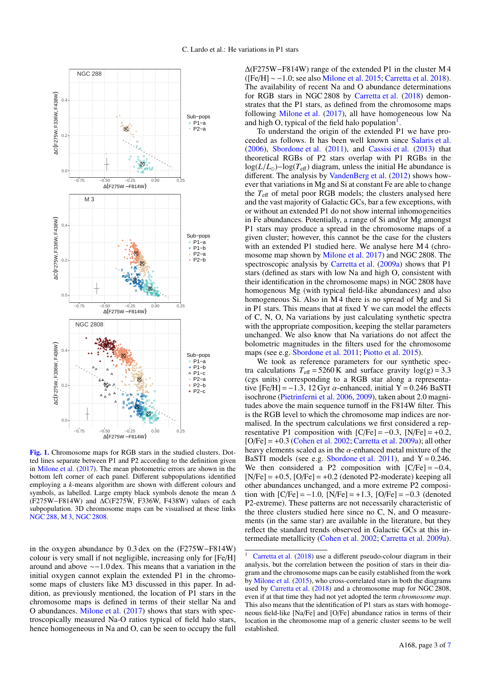

<span id="page-3-0"></span>[Fig. 1.](https://dexter.edpsciences.org/applet.php?DOI=10.1051/0004-6361/201832999&pdf_id=1) Chromosome maps for RGB stars in the studied clusters. Dotted lines separate between P1 and P2 according to the definition given in [Milone et al.](#page-7-11) [\(2017\)](#page-7-11). The mean photometric errors are shown in the bottom left corner of each panel. Different subpopulations identified employing a *k*-means algorithm are shown with different colours and symbols, as labelled. Large empty black symbols denote the mean ∆  $(F275W-F814W)$  and  $\Delta C(F275W, F336W, F438W)$  values of each subpopulation. 3D chromosome maps can be visualised at these links [NGC 288,](https://carlardo.github.io/personal_site/animations/n288.html) [M 3,](https://carlardo.github.io/personal_site/animations/m3.html) [NGC 2808.](https://carlardo.github.io/personal_site/animations/n2808.html)

in the oxygen abundance by 0.3 dex on the (F275W−F814W) colour is very small if not negligible, increasing only for [Fe/H] around and above ∼−1.0 dex. This means that a variation in the initial oxygen cannot explain the extended P1 in the chromosome maps of clusters like M3 discussed in this paper. In addition, as previously mentioned, the location of P1 stars in the chromosome maps is defined in terms of their stellar Na and O abundances. [Milone et al.](#page-7-11) [\(2017\)](#page-7-11) shows that stars with spectroscopically measured Na-O ratios typical of field halo stars, hence homogeneous in Na and O, can be seen to occupy the full

∆(F275W−F814W) range of the extended P1 in the cluster M 4 ([Fe/H] ∼ −1.0; see also [Milone et al.](#page-7-12) [2015;](#page-7-12) [Carretta et al.](#page-7-14) [2018\)](#page-7-14). The availability of recent Na and O abundance determinations for RGB stars in NGC 2808 by [Carretta et al.](#page-7-14) [\(2018\)](#page-7-14) demonstrates that the P1 stars, as defined from the chromosome maps following [Milone et al.](#page-7-11) [\(2017\)](#page-7-11), all have homogeneous low Na and high O, typical of the field halo population<sup>[1](#page-3-1)</sup>.

To understand the origin of the extended P1 we have proceeded as follows. It has been well known since [Salaris et al.](#page-7-21) [\(2006\)](#page-7-21), [Sbordone et al.](#page-7-16) [\(2011\)](#page-7-16), and [Cassisi et al.](#page-7-22) [\(2013\)](#page-7-22) that theoretical RGBs of P2 stars overlap with P1 RGBs in the log(*L*/*<sup>L</sup>*)−log(*T*eff) diagram, unless the initial He abundance is different. The analysis by [VandenBerg et al.](#page-7-23) [\(2012\)](#page-7-23) shows however that variations in Mg and Si at constant Fe are able to change the  $T_{\text{eff}}$  of metal poor RGB models; the clusters analysed here and the vast majority of Galactic GCs, bar a few exceptions, with or without an extended P1 do not show internal inhomogeneities in Fe abundances. Potentially, a range of Si and/or Mg amongst P1 stars may produce a spread in the chromosome maps of a given cluster; however, this cannot be the case for the clusters with an extended P1 studied here. We analyse here M 4 (chromosome map shown by [Milone et al.](#page-7-11) [2017\)](#page-7-11) and NGC 2808. The spectroscopic analysis by [Carretta et al.](#page-7-18) [\(2009a\)](#page-7-18) shows that P1 stars (defined as stars with low Na and high O, consistent with their identification in the chromosome maps) in NGC 2808 have homogenous Mg (with typical field-like abundances) and also homogeneous Si. Also in M 4 there is no spread of Mg and Si in P1 stars. This means that at fixed Y we can model the effects of C, N, O, Na variations by just calculating synthetic spectra with the appropriate composition, keeping the stellar parameters unchanged. We also know that Na variations do not affect the bolometric magnitudes in the filters used for the chromosome maps (see e.g. [Sbordone et al.](#page-7-16) [2011;](#page-7-16) [Piotto et al.](#page-7-8) [2015\)](#page-7-8).

We took as reference parameters for our synthetic spectra calculations  $T_{\text{eff}} = 5260 \text{ K}$  and surface gravity  $\log(g) = 3.3$ (cgs units) corresponding to a RGB star along a representative  $[Fe/H] = -1.3$ , 12 Gyr  $\alpha$ -enhanced, initial Y = 0.246 BaSTI isochrone [\(Pietrinferni et al.](#page-7-24) [2006,](#page-7-24) [2009\)](#page-7-25), taken about 2.0 magnitudes above the main sequence turnoff in the F814W filter. This is the RGB level to which the chromosome map indices are normalised. In the spectrum calculations we first considered a representative P1 composition with  $[C/Fe] = -0.3$ ,  $[N/Fe] = +0.2$ ,  $[O/Fe] = +0.3$  [\(Cohen et al.](#page-7-26) [2002;](#page-7-26) [Carretta et al.](#page-7-18) [2009a\)](#page-7-18); all other heavy elements scaled as in the  $\alpha$ -enhanced metal mixture of the BaSTI models (see e.g. [Sbordone et al.](#page-7-16) [2011\)](#page-7-16), and  $Y = 0.246$ . We then considered a P2 composition with  $[C/Fe] = -0.4$ ,  $[N/Fe] = +0.5$ ,  $[O/Fe] = +0.2$  (denoted P2-moderate) keeping all other abundances unchanged, and a more extreme P2 composition with  $[C/Fe] = -1.0$ ,  $[N/Fe] = +1.3$ ,  $[O/Fe] = -0.3$  (denoted P2-extreme). These patterns are not necessarily characteristic of the three clusters studied here since no C, N, and O measurements (in the same star) are available in the literature, but they reflect the standard trends observed in Galactic GCs at this intermediate metallicity [\(Cohen et al.](#page-7-26) [2002;](#page-7-26) [Carretta et al.](#page-7-18) [2009a\)](#page-7-18).

<span id="page-3-1"></span>[Carretta et al.](#page-7-14) [\(2018\)](#page-7-14) use a different pseudo-colour diagram in their analysis, but the correlation between the position of stars in their diagram and the chromosome maps can be easily established from the work by [Milone et al.](#page-7-12) [\(2015\)](#page-7-12), who cross-correlated stars in both the diagrams used by [Carretta et al.](#page-7-14) [\(2018\)](#page-7-14) and a chromosome map for NGC 2808, even if at that time they had not yet adopted the term *chromosome map*. This also means that the identification of P1 stars as stars with homogeneous field-like [Na/Fe] and [O/Fe] abundance ratios in terms of their location in the chromosome map of a generic cluster seems to be well established.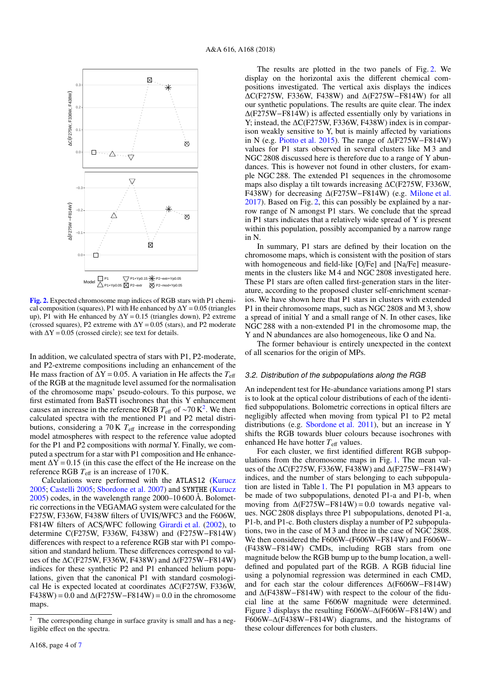

<span id="page-4-1"></span>[Fig. 2.](https://dexter.edpsciences.org/applet.php?DOI=10.1051/0004-6361/201832999&pdf_id=2) Expected chromosome map indices of RGB stars with P1 chemical composition (squares), P1 with He enhanced by  $\Delta Y = 0.05$  (triangles up), P1 with He enhanced by  $\Delta Y = 0.15$  (triangles down), P2 extreme (crossed squares), P2 extreme with  $\Delta Y = 0.05$  (stars), and P2 moderate with  $\Delta Y = 0.05$  (crossed circle); see text for details.

In addition, we calculated spectra of stars with P1, P2-moderate, and P2-extreme compositions including an enhancement of the He mass fraction of  $\Delta Y = 0.05$ . A variation in He affects the  $T_{\text{eff}}$ of the RGB at the magnitude level assumed for the normalisation of the chromosome maps' pseudo-colours. To this purpose, we first estimated from BaSTI isochrones that this Y enhancement causes an increase in the reference RGB  $T_{\text{eff}}$  of ~70 K<sup>[2](#page-4-0)</sup>. We then calculated spectra with the mentioned P1 and P2 metal distributions, considering a  $70 \text{ K } T_{\text{eff}}$  increase in the corresponding model atmospheres with respect to the reference value adopted for the P1 and P2 compositions with normal Y. Finally, we computed a spectrum for a star with P1 composition and He enhancement  $\Delta Y = 0.15$  (in this case the effect of the He increase on the reference RGB *T*eff is an increase of 170 K.

Calculations were performed with the ATLAS12 [\(Kurucz](#page-7-27) [2005;](#page-7-27) [Castelli](#page-7-28) [2005;](#page-7-28) [Sbordone et al.](#page-7-29) [2007\)](#page-7-29) and SYNTHE [\(Kurucz](#page-7-27)  $2005$ ) codes, in the wavelength range  $2000-10600$  Å. Bolometric corrections in the VEGAMAG system were calculated for the F275W, F336W, F438W filters of UVIS/WFC3 and the F606W, F814W filters of ACS/WFC following [Girardi et al.](#page-7-30) [\(2002\)](#page-7-30), to determine C(F275W, F336W, F438W) and (F275W−F814W) differences with respect to a reference RGB star with P1 composition and standard helium. These differences correspond to values of the ∆C(F275W, F336W, F438W) and ∆(F275W−F814W) indices for these synthetic P2 and P1 enhanced helium populations, given that the canonical P1 with standard cosmological He is expected located at coordinates ∆C(F275W, F336W,  $F438W$ ) = 0.0 and  $\Delta$ (F275W–F814W) = 0.0 in the chromosome maps.

The results are plotted in the two panels of Fig. [2.](#page-4-1) We display on the horizontal axis the different chemical compositions investigated. The vertical axis displays the indices ∆C(F275W, F336W, F438W) and ∆(F275W−F814W) for all our synthetic populations. The results are quite clear. The index ∆(F275W−F814W) is affected essentially only by variations in Y; instead, the ∆C(F275W, F336W, F438W) index is in comparison weakly sensitive to Y, but is mainly affected by variations in N (e.g. [Piotto et al.](#page-7-8) [2015\)](#page-7-8). The range of ∆(F275W−F814W) values for P1 stars observed in several clusters like M 3 and NGC 2808 discussed here is therefore due to a range of Y abundances. This is however not found in other clusters, for example NGC 288. The extended P1 sequences in the chromosome maps also display a tilt towards increasing ∆C(F275W, F336W, F438W) for decreasing ∆(F275W−F814W) (e.g. [Milone et al.](#page-7-11) [2017\)](#page-7-11). Based on Fig. [2,](#page-4-1) this can possibly be explained by a narrow range of N amongst P1 stars. We conclude that the spread in P1 stars indicates that a relatively wide spread of Y is present within this population, possibly accompanied by a narrow range in N.

In summary, P1 stars are defined by their location on the chromosome maps, which is consistent with the position of stars with homogeneous and field-like [O/Fe] and [Na/Fe] measurements in the clusters like M 4 and NGC 2808 investigated here. These P1 stars are often called first-generation stars in the literature, according to the proposed cluster self-enrichment scenarios. We have shown here that P1 stars in clusters with extended P1 in their chromosome maps, such as NGC 2808 and M 3, show a spread of initial Y and a small range of N. In other cases, like NGC 288 with a non-extended P1 in the chromosome map, the Y and N abundances are also homogeneous, like O and Na.

The former behaviour is entirely unexpected in the context of all scenarios for the origin of MPs.

#### 3.2. Distribution of the subpopulations along the RGB

An independent test for He-abundance variations among P1 stars is to look at the optical colour distributions of each of the identified subpopulations. Bolometric corrections in optical filters are negligibly affected when moving from typical P1 to P2 metal distributions (e.g. [Sbordone et al.](#page-7-16) [2011\)](#page-7-16), but an increase in Y shifts the RGB towards bluer colours because isochrones with enhanced He have hotter  $T_{\text{eff}}$  values.

For each cluster, we first identified different RGB subpopulations from the chromosome maps in Fig. [1.](#page-3-0) The mean values of the ∆C(F275W, F336W, F438W) and ∆(F275W−F814W) indices, and the number of stars belonging to each subpopulation are listed in Table [1.](#page-5-0) The P1 population in M3 appears to be made of two subpopulations, denoted P1-a and P1-b, when moving from  $\Delta$ (F275W–F814W) = 0.0 towards negative values. NGC 2808 displays three P1 subpopulations, denoted P1-a, P1-b, and P1-c. Both clusters display a number of P2 subpopulations, two in the case of M 3 and three in the case of NGC 2808. We then considered the F606W–(F606W−F814W) and F606W– (F438W−F814W) CMDs, including RGB stars from one magnitude below the RGB bump up to the bump location, a welldefined and populated part of the RGB. A RGB fiducial line using a polynomial regression was determined in each CMD, and for each star the colour differences ∆(F606W−F814W) and ∆(F438W−F814W) with respect to the colour of the fiducial line at the same F606W magnitude were determined. Figure [3](#page-5-1) displays the resulting F606W–∆(F606W−F814W) and F606W–∆(F438W−F814W) diagrams, and the histograms of these colour differences for both clusters.

<span id="page-4-0"></span><sup>&</sup>lt;sup>2</sup> The corresponding change in surface gravity is small and has a negligible effect on the spectra.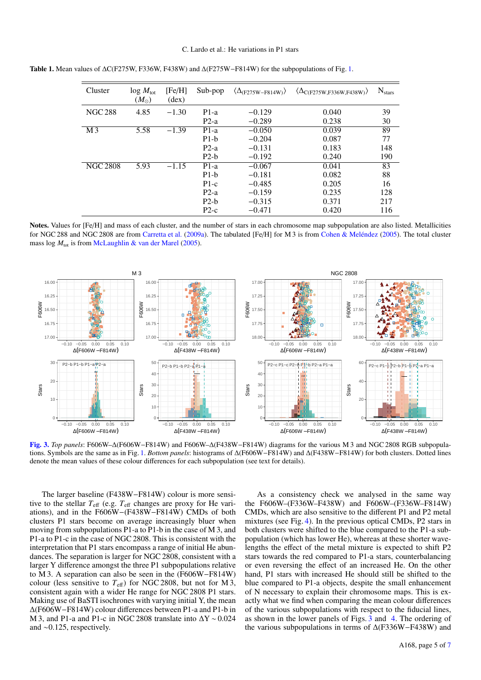| Cluster         | $log M_{tot}$<br>$(M_{\odot})$ | [Fe/H]<br>$(\text{dex})$ | Sub-pop | $\langle \Delta_{\text{(F275W-F814W)}} \rangle$ | $\langle \Delta_{C(F275W,F336W,F438W)} \rangle$ | $N_{stars}$ |
|-----------------|--------------------------------|--------------------------|---------|-------------------------------------------------|-------------------------------------------------|-------------|
| <b>NGC 288</b>  | 4.85                           | $-1.30$                  | $P1-a$  | $-0.129$                                        | 0.040                                           | 39          |
|                 |                                |                          | $P2-a$  | $-0.289$                                        | 0.238                                           | 30          |
| M <sub>3</sub>  | 5.58                           | $-1.39$                  | $P1-a$  | $-0.050$                                        | 0.039                                           | 89          |
|                 |                                |                          | $P1-h$  | $-0.204$                                        | 0.087                                           | 77          |
|                 |                                |                          | $P2-a$  | $-0.131$                                        | 0.183                                           | 148         |
|                 |                                |                          | $P2-h$  | $-0.192$                                        | 0.240                                           | 190         |
| <b>NGC 2808</b> | 5.93                           | $-1.15$                  | $P1-a$  | $-0.067$                                        | 0.041                                           | 83          |
|                 |                                |                          | $P1-h$  | $-0.181$                                        | 0.082                                           | 88          |
|                 |                                |                          | $P1-c$  | $-0.485$                                        | 0.205                                           | 16          |
|                 |                                |                          | $P2-a$  | $-0.159$                                        | 0.235                                           | 128         |
|                 |                                |                          | $P2-h$  | $-0.315$                                        | 0.371                                           | 217         |
|                 |                                |                          | $P2-c$  | $-0.471$                                        | 0.420                                           | 116         |

<span id="page-5-0"></span>Table [1.](#page-3-0) Mean values of ∆C(F275W, F336W, F438W) and ∆(F275W–F814W) for the subpopulations of Fig. 1.

Notes. Values for [Fe/H] and mass of each cluster, and the number of stars in each chromosome map subpopulation are also listed. Metallicities for NGC 288 and NGC 2808 are from [Carretta et al.](#page-7-18) [\(2009a\)](#page-7-18). The tabulated [Fe/H] for M 3 is from [Cohen & Meléndez](#page-7-31) [\(2005\)](#page-7-31). The total cluster mass log  $M_{\text{tot}}$  is from [McLaughlin & van der Marel](#page-7-32) [\(2005\)](#page-7-32).



<span id="page-5-1"></span>[Fig. 3.](https://dexter.edpsciences.org/applet.php?DOI=10.1051/0004-6361/201832999&pdf_id=3) *Top panels*: F606W–∆(F606W−F814W) and F606W–∆(F438W−F814W) diagrams for the various M 3 and NGC 2808 RGB subpopulations. Symbols are the same as in Fig. [1.](#page-3-0) *Bottom panels*: histograms of ∆(F606W−F814W) and ∆(F438W−F814W) for both clusters. Dotted lines denote the mean values of these colour differences for each subpopulation (see text for details).

The larger baseline (F438W−F814W) colour is more sensitive to the stellar  $T_{\text{eff}}$  (e.g.  $T_{\text{eff}}$  changes are proxy for He variations), and in the F606W−(F438W−F814W) CMDs of both clusters P1 stars become on average increasingly bluer when moving from subpopulations P1-a to P1-b in the case of M 3, and P1-a to P1-c in the case of NGC 2808. This is consistent with the interpretation that P1 stars encompass a range of initial He abundances. The separation is larger for NGC 2808, consistent with a larger Y difference amongst the three P1 subpopulations relative to M 3. A separation can also be seen in the (F606W−F814W) colour (less sensitive to  $T_{\text{eff}}$ ) for NGC 2808, but not for M 3, consistent again with a wider He range for NGC 2808 P1 stars. Making use of BaSTI isochrones with varying initial Y, the mean ∆(F606W−F814W) colour differences between P1-a and P1-b in M 3, and P1-a and P1-c in NGC 2808 translate into ∆Y ∼ 0.024 and ∼0.125, respectively.

As a consistency check we analysed in the same way the F606W–(F336W–F438W) and F606W–(F336W–F814W) CMDs, which are also sensitive to the different P1 and P2 metal mixtures (see Fig. [4\)](#page-6-1). In the previous optical CMDs, P2 stars in both clusters were shifted to the blue compared to the P1-a subpopulation (which has lower He), whereas at these shorter wavelengths the effect of the metal mixture is expected to shift P2 stars towards the red compared to P1-a stars, counterbalancing or even reversing the effect of an increased He. On the other hand, P1 stars with increased He should still be shifted to the blue compared to P1-a objects, despite the small enhancement of N necessary to explain their chromosome maps. This is exactly what we find when comparing the mean colour differences of the various subpopulations with respect to the fiducial lines, as shown in the lower panels of Figs. [3](#page-5-1) and [4.](#page-6-1) The ordering of the various subpopulations in terms of ∆(F336W−F438W) and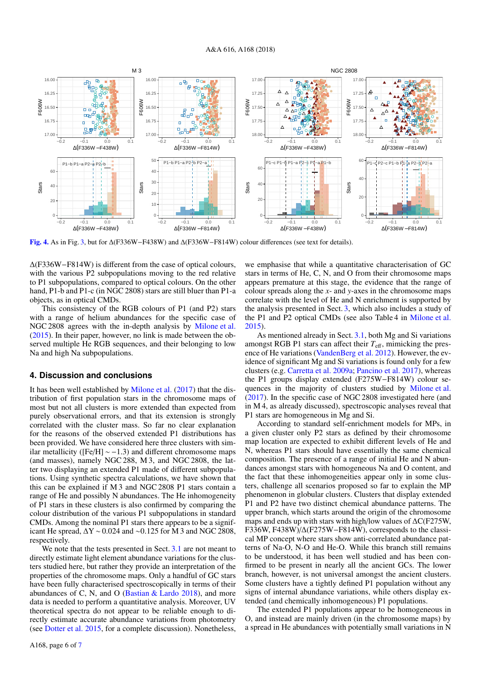

<span id="page-6-1"></span>[Fig. 4.](https://dexter.edpsciences.org/applet.php?DOI=10.1051/0004-6361/201832999&pdf_id=4) As in Fig. [3,](#page-5-1) but for ∆(F336W−F438W) and ∆(F336W−F814W) colour differences (see text for details).

∆(F336W−F814W) is different from the case of optical colours, with the various P2 subpopulations moving to the red relative to P1 subpopulations, compared to optical colours. On the other hand, P1-b and P1-c (in NGC 2808) stars are still bluer than P1-a objects, as in optical CMDs.

This consistency of the RGB colours of P1 (and P2) stars with a range of helium abundances for the specific case of NGC 2808 agrees with the in-depth analysis by [Milone et al.](#page-7-12) [\(2015\)](#page-7-12). In their paper, however, no link is made between the observed multiple He RGB sequences, and their belonging to low Na and high Na subpopulations.

## <span id="page-6-0"></span>**4. Discussion and conclusions**

It has been well established by [Milone et al.](#page-7-11) [\(2017\)](#page-7-11) that the distribution of first population stars in the chromosome maps of most but not all clusters is more extended than expected from purely observational errors, and that its extension is strongly correlated with the cluster mass. So far no clear explanation for the reasons of the observed extended P1 distributions has been provided. We have considered here three clusters with similar metallicity ([Fe/H]  $\sim$  −1.3) and different chromosome maps (and masses), namely NGC 288, M 3, and NGC 2808, the latter two displaying an extended P1 made of different subpopulations. Using synthetic spectra calculations, we have shown that this can be explained if M 3 and NGC 2808 P1 stars contain a range of He and possibly N abundances. The He inhomogeneity of P1 stars in these clusters is also confirmed by comparing the colour distribution of the various P1 subpopulations in standard CMDs. Among the nominal P1 stars there appears to be a significant He spread,  $\Delta$ Y ~ 0.024 and ~0.125 for M 3 and NGC 2808, respectively.

We note that the tests presented in Sect. [3.1](#page-2-2) are not meant to directly estimate light element abundance variations for the clusters studied here, but rather they provide an interpretation of the properties of the chromosome maps. Only a handful of GC stars have been fully characterised spectroscopically in terms of their abundances of C, N, and O (Bastian  $&$  Lardo [2018\)](#page-7-0), and more data is needed to perform a quantitative analysis. Moreover, UV theoretical spectra do not appear to be reliable enough to directly estimate accurate abundance variations from photometry (see [Dotter et al.](#page-7-33) [2015,](#page-7-33) for a complete discussion). Nonetheless,

A168, page 6 of [7](#page-7-13)

we emphasise that while a quantitative characterisation of GC stars in terms of He, C, N, and O from their chromosome maps appears premature at this stage, the evidence that the range of colour spreads along the *x*- and *y*-axes in the chromosome maps correlate with the level of He and N enrichment is supported by the analysis presented in Sect. [3,](#page-2-1) which also includes a study of the P1 and P2 optical CMDs (see also Table 4 in [Milone et al.](#page-7-12) [2015\)](#page-7-12).

As mentioned already in Sect. [3.1,](#page-2-2) both Mg and Si variations amongst RGB P1 stars can affect their  $T_{\text{eff}}$ , mimicking the presence of He variations [\(VandenBerg et al.](#page-7-23) [2012\)](#page-7-23). However, the evidence of significant Mg and Si variations is found only for a few clusters (e.g. [Carretta et al.](#page-7-18) [2009a;](#page-7-18) [Pancino et al.](#page-7-34) [2017\)](#page-7-34), whereas the P1 groups display extended (F275W−F814W) colour sequences in the majority of clusters studied by [Milone et al.](#page-7-11) [\(2017\)](#page-7-11). In the specific case of NGC 2808 investigated here (and in M 4, as already discussed), spectroscopic analyses reveal that P1 stars are homogeneous in Mg and Si.

According to standard self-enrichment models for MPs, in a given cluster only P2 stars as defined by their chromosome map location are expected to exhibit different levels of He and N, whereas P1 stars should have essentially the same chemical composition. The presence of a range of initial He and N abundances amongst stars with homogeneous Na and O content, and the fact that these inhomogeneities appear only in some clusters, challenge all scenarios proposed so far to explain the MP phenomenon in globular clusters. Clusters that display extended P1 and P2 have two distinct chemical abundance patterns. The upper branch, which starts around the origin of the chromosome maps and ends up with stars with high/low values of ∆C(F275W, F336W, F438W)/∆(F275W−F814W), corresponds to the classical MP concept where stars show anti-correlated abundance patterns of Na-O, N-O and He-O. While this branch still remains to be understood, it has been well studied and has been confirmed to be present in nearly all the ancient GCs. The lower branch, however, is not universal amongst the ancient clusters. Some clusters have a tightly defined P1 population without any signs of internal abundance variations, while others display extended (and chemically inhomogeneous) P1 populations.

The extended P1 populations appear to be homogeneous in O, and instead are mainly driven (in the chromosome maps) by a spread in He abundances with potentially small variations in N